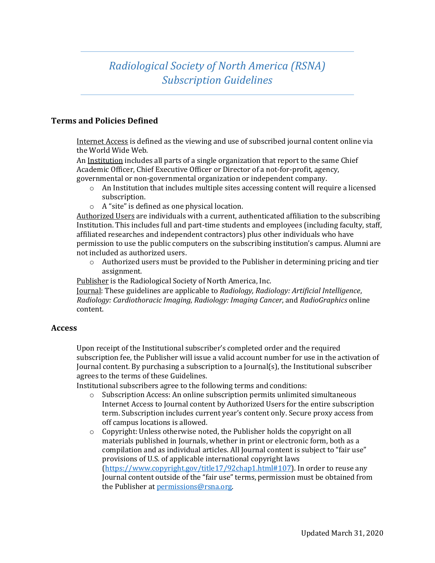## *Radiological Society of North America (RSNA) Subscription Guidelines*

## **Terms and Policies Defined**

Internet Access is defined as the viewing and use of subscribed journal content online via the World Wide Web.

An Institution includes all parts of a single organization that report to the same Chief Academic Officer, Chief Executive Officer or Director of a not-for-profit, agency, governmental or non-governmental organization or independent company.

- o An Institution that includes multiple sites accessing content will require a licensed subscription.
- o A "site" is defined as one physical location.

Authorized Users are individuals with a current, authenticated affiliation to the subscribing Institution. This includes full and part-time students and employees (including faculty, staff, affiliated researches and independent contractors) plus other individuals who have permission to use the public computers on the subscribing institution's campus. Alumni are not included as authorized users.

o Authorized users must be provided to the Publisher in determining pricing and tier assignment.

Publisher is the Radiological Society of North America, Inc.

Journal: These guidelines are applicable to *Radiology, Radiology: Artificial Intelligence*, *Radiology: Cardiothoracic Imaging*, *Radiology: Imaging Cancer*, and *RadioGraphics* online content.

## **Access**

Upon receipt of the Institutional subscriber's completed order and the required subscription fee, the Publisher will issue a valid account number for use in the activation of Journal content. By purchasing a subscription to a Journal(s), the Institutional subscriber agrees to the terms of these Guidelines.

Institutional subscribers agree to the following terms and conditions:

- o Subscription Access: An online subscription permits unlimited simultaneous Internet Access to Journal content by Authorized Users for the entire subscription term. Subscription includes current year's content only. Secure proxy access from off campus locations is allowed.
- o Copyright: Unless otherwise noted, the Publisher holds the copyright on all materials published in Journals, whether in print or electronic form, both as a compilation and as individual articles. All Journal content is subject to "fair use" provisions of U.S. of applicable international copyright laws (https://www.copyright.gov/title17/92chap1.html#107). In order to reuse any Journal content outside of the "fair use" terms, permission must be obtained from the Publisher a[t permissions@rsna.org.](mailto:permissions@rsna.org)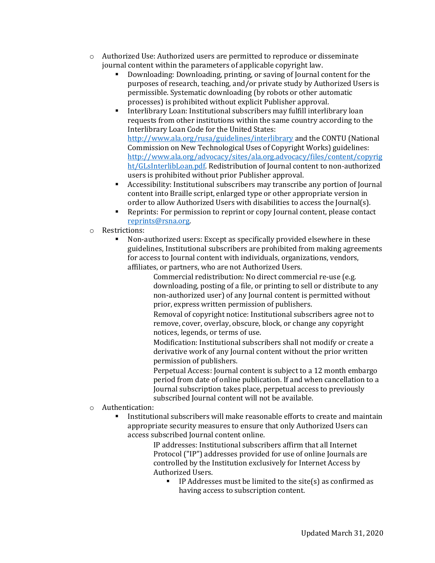- o Authorized Use: Authorized users are permitted to reproduce or disseminate journal content within the parameters of applicable copyright law.
	- Downloading: Downloading, printing, or saving of Journal content for the purposes of research, teaching, and/or private study by Authorized Users is permissible. Systematic downloading (by robots or other automatic processes) is prohibited without explicit Publisher approval.
	- Interlibrary Loan: Institutional subscribers may fulfill interlibrary loan requests from other institutions within the same country according to the Interlibrary Loan Code for the United States: http://www.ala.org/rusa/guidelines/interlibrary and the CONTU (National Commission on New Technological Uses of Copyright Works) guidelines: http://www.ala.org/advocacy/sites/ala.org.advocacy/files/content/copyrig ht/GLsInterlibLoan.pdf. Redistribution of Journal content to non-authorized users is prohibited without prior Publisher approval.
	- Accessibility: Institutional subscribers may transcribe any portion of Journal content into Braille script, enlarged type or other appropriate version in order to allow Authorized Users with disabilities to access the Journal(s).
	- Reprints: For permission to reprint or copy Journal content, please contact [reprints@rsna.org.](mailto:reprints@rsna.org)
- Restrictions:
	- Non-authorized users: Except as specifically provided elsewhere in these guidelines, Institutional subscribers are prohibited from making agreements for access to Journal content with individuals, organizations, vendors, affiliates, or partners, who are not Authorized Users.

Commercial redistribution: No direct commercial re-use (e.g. downloading, posting of a file, or printing to sell or distribute to any non-authorized user) of any Journal content is permitted without prior, express written permission of publishers.

Removal of copyright notice: Institutional subscribers agree not to remove, cover, overlay, obscure, block, or change any copyright notices, legends, or terms of use.

Modification: Institutional subscribers shall not modify or create a derivative work of any Journal content without the prior written permission of publishers.

Perpetual Access: Journal content is subject to a 12 month embargo period from date of online publication. If and when cancellation to a Journal subscription takes place, perpetual access to previously subscribed Journal content will not be available.

- o Authentication:
	- Institutional subscribers will make reasonable efforts to create and maintain appropriate security measures to ensure that only Authorized Users can access subscribed Journal content online.

IP addresses: Institutional subscribers affirm that all Internet Protocol ("IP") addresses provided for use of online Journals are controlled by the Institution exclusively for Internet Access by Authorized Users.

■ IP Addresses must be limited to the site(s) as confirmed as having access to subscription content.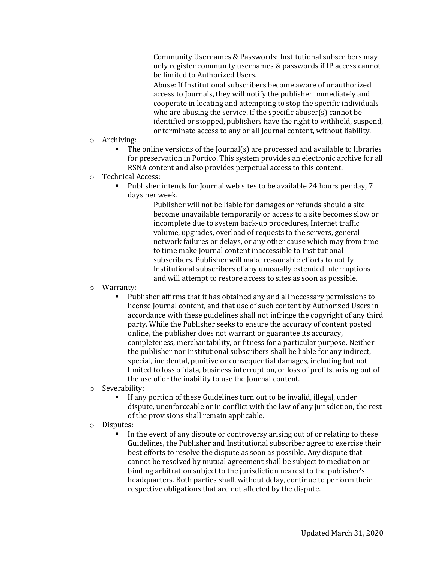Community Usernames & Passwords: Institutional subscribers may only register community usernames & passwords if IP access cannot be limited to Authorized Users.

Abuse: If Institutional subscribers become aware of unauthorized access to Journals, they will notify the publisher immediately and cooperate in locating and attempting to stop the specific individuals who are abusing the service. If the specific abuser(s) cannot be identified or stopped, publishers have the right to withhold, suspend, or terminate access to any or all Journal content, without liability.

- o Archiving:
	- The online versions of the Journal(s) are processed and available to libraries for preservation in Portico. This system provides an electronic archive for all RSNA content and also provides perpetual access to this content.
- o Technical Access:
	- Publisher intends for Journal web sites to be available 24 hours per day, 7 days per week.

Publisher will not be liable for damages or refunds should a site become unavailable temporarily or access to a site becomes slow or incomplete due to system back-up procedures, Internet traffic volume, upgrades, overload of requests to the servers, general network failures or delays, or any other cause which may from time to time make Journal content inaccessible to Institutional subscribers. Publisher will make reasonable efforts to notify Institutional subscribers of any unusually extended interruptions and will attempt to restore access to sites as soon as possible.

- o Warranty:
	- Publisher affirms that it has obtained any and all necessary permissions to license Journal content, and that use of such content by Authorized Users in accordance with these guidelines shall not infringe the copyright of any third party. While the Publisher seeks to ensure the accuracy of content posted online, the publisher does not warrant or guarantee its accuracy, completeness, merchantability, or fitness for a particular purpose. Neither the publisher nor Institutional subscribers shall be liable for any indirect, special, incidental, punitive or consequential damages, including but not limited to loss of data, business interruption, or loss of profits, arising out of the use of or the inability to use the Journal content.
- o Severability:
	- If any portion of these Guidelines turn out to be invalid, illegal, under dispute, unenforceable or in conflict with the law of any jurisdiction, the rest of the provisions shall remain applicable.
- o Disputes:
	- In the event of any dispute or controversy arising out of or relating to these Guidelines, the Publisher and Institutional subscriber agree to exercise their best efforts to resolve the dispute as soon as possible. Any dispute that cannot be resolved by mutual agreement shall be subject to mediation or binding arbitration subject to the jurisdiction nearest to the publisher's headquarters. Both parties shall, without delay, continue to perform their respective obligations that are not affected by the dispute.